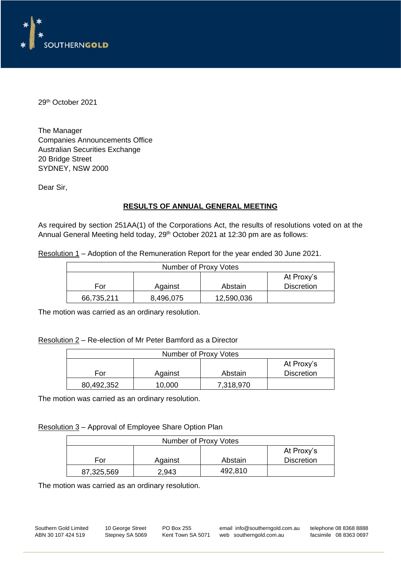

29 th October 2021

The Manager Companies Announcements Office Australian Securities Exchange 20 Bridge Street SYDNEY, NSW 2000

Dear Sir,

## **RESULTS OF ANNUAL GENERAL MEETING**

As required by section 251AA(1) of the Corporations Act, the results of resolutions voted on at the Annual General Meeting held today, 29<sup>th</sup> October 2021 at 12:30 pm are as follows:

Resolution 1 – Adoption of the Remuneration Report for the year ended 30 June 2021.

| Number of Proxy Votes                          |  |  |  |  |
|------------------------------------------------|--|--|--|--|
| At Proxy's                                     |  |  |  |  |
| <b>Discretion</b><br>Against<br>Abstain<br>For |  |  |  |  |
| 66,735,211<br>12,590,036<br>8,496,075          |  |  |  |  |

The motion was carried as an ordinary resolution.

#### Resolution 2 – Re-election of Mr Peter Bamford as a Director

| Number of Proxy Votes                          |  |  |  |  |
|------------------------------------------------|--|--|--|--|
| At Proxy's                                     |  |  |  |  |
| <b>Discretion</b><br>Against<br>Abstain<br>For |  |  |  |  |
| 80,492,352                                     |  |  |  |  |

The motion was carried as an ordinary resolution.

Resolution 3 – Approval of Employee Share Option Plan

| Number of Proxy Votes                          |       |         |  |  |
|------------------------------------------------|-------|---------|--|--|
| At Proxy's                                     |       |         |  |  |
| <b>Discretion</b><br>Against<br>Abstain<br>For |       |         |  |  |
| 87,325,569                                     | 2,943 | 492,810 |  |  |

The motion was carried as an ordinary resolution.

Southern Gold Limited 10 George Street PO Box 255 email info@southerngold.com.au telephone 08 8368 8888<br>ABN 30 107 424 519 Stepney SA 5069 Kent Town SA 5071 web southerngold.com.au facsimile 08 8363 0697 Kent Town SA 5071 web southerngold.com.au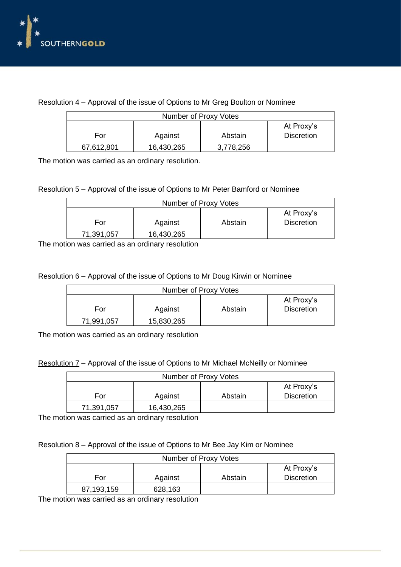

| Resolution $4$ – Approval of the issue of Options to Mr Greg Boulton or Nominee |  |  |
|---------------------------------------------------------------------------------|--|--|
|                                                                                 |  |  |

| Number of Proxy Votes                          |  |  |  |  |  |
|------------------------------------------------|--|--|--|--|--|
| At Proxy's                                     |  |  |  |  |  |
| <b>Discretion</b><br>Against<br>Abstain<br>For |  |  |  |  |  |
| 67,612,801<br>3,778,256<br>16,430,265          |  |  |  |  |  |

The motion was carried as an ordinary resolution.

### Resolution 5 – Approval of the issue of Options to Mr Peter Bamford or Nominee

| Number of Proxy Votes    |         |         |                   |  |
|--------------------------|---------|---------|-------------------|--|
| At Proxy's               |         |         |                   |  |
| For                      | Against | Abstain | <b>Discretion</b> |  |
| 16,430,265<br>71,391,057 |         |         |                   |  |

The motion was carried as an ordinary resolution

### Resolution 6 – Approval of the issue of Options to Mr Doug Kirwin or Nominee

| Number of Proxy Votes |            |         |                   |  |
|-----------------------|------------|---------|-------------------|--|
| At Proxy's            |            |         |                   |  |
| For                   | Against    | Abstain | <b>Discretion</b> |  |
| 71,991,057            | 15,830,265 |         |                   |  |

The motion was carried as an ordinary resolution

|  |  | Resolution 7 – Approval of the issue of Options to Mr Michael McNeilly or Nominee |  |
|--|--|-----------------------------------------------------------------------------------|--|
|  |  |                                                                                   |  |

| Number of Proxy Votes    |                   |  |  |  |
|--------------------------|-------------------|--|--|--|
| At Proxy's               |                   |  |  |  |
| For                      | <b>Discretion</b> |  |  |  |
| 16,430,265<br>71,391,057 |                   |  |  |  |

The motion was carried as an ordinary resolution

### Resolution 8 – Approval of the issue of Options to Mr Bee Jay Kim or Nominee

| Number of Proxy Votes |         |         |                   |  |
|-----------------------|---------|---------|-------------------|--|
| At Proxy's            |         |         |                   |  |
| For                   | Against | Abstain | <b>Discretion</b> |  |
| 87,193,159            | 628,163 |         |                   |  |

The motion was carried as an ordinary resolution